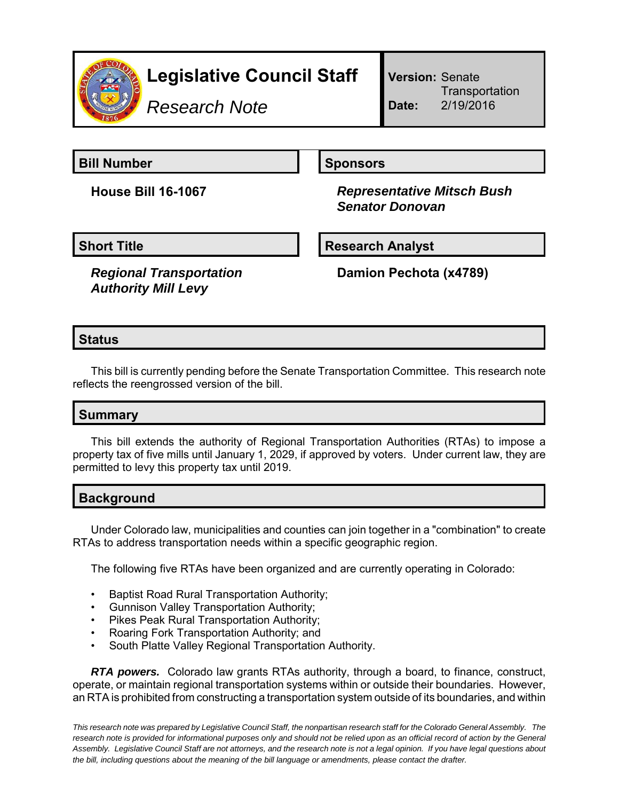

# **Legislative Council Staff**

*Research Note*

**Version:** Senate **Transportation Date:** 2/19/2016

**Bill Number Sponsors** 

**House Bill 16-1067** *Representative Mitsch Bush Senator Donovan*

**Short Title Community Community Community Research Analyst** 

*Regional Transportation Authority Mill Levy*

**Damion Pechota (x4789)**

## **Status**

This bill is currently pending before the Senate Transportation Committee. This research note reflects the reengrossed version of the bill.

## **Summary**

This bill extends the authority of Regional Transportation Authorities (RTAs) to impose a property tax of five mills until January 1, 2029, if approved by voters. Under current law, they are permitted to levy this property tax until 2019.

## **Background**

Under Colorado law, municipalities and counties can join together in a "combination" to create RTAs to address transportation needs within a specific geographic region.

The following five RTAs have been organized and are currently operating in Colorado:

- Baptist Road Rural Transportation Authority;
- Gunnison Valley Transportation Authority;
- Pikes Peak Rural Transportation Authority;
- Roaring Fork Transportation Authority; and
- South Platte Valley Regional Transportation Authority.

*RTA powers.* Colorado law grants RTAs authority, through a board, to finance, construct, operate, or maintain regional transportation systems within or outside their boundaries. However, an RTA is prohibited from constructing a transportation system outside of its boundaries, and within

*This research note was prepared by Legislative Council Staff, the nonpartisan research staff for the Colorado General Assembly. The research note is provided for informational purposes only and should not be relied upon as an official record of action by the General Assembly. Legislative Council Staff are not attorneys, and the research note is not a legal opinion. If you have legal questions about the bill, including questions about the meaning of the bill language or amendments, please contact the drafter.*